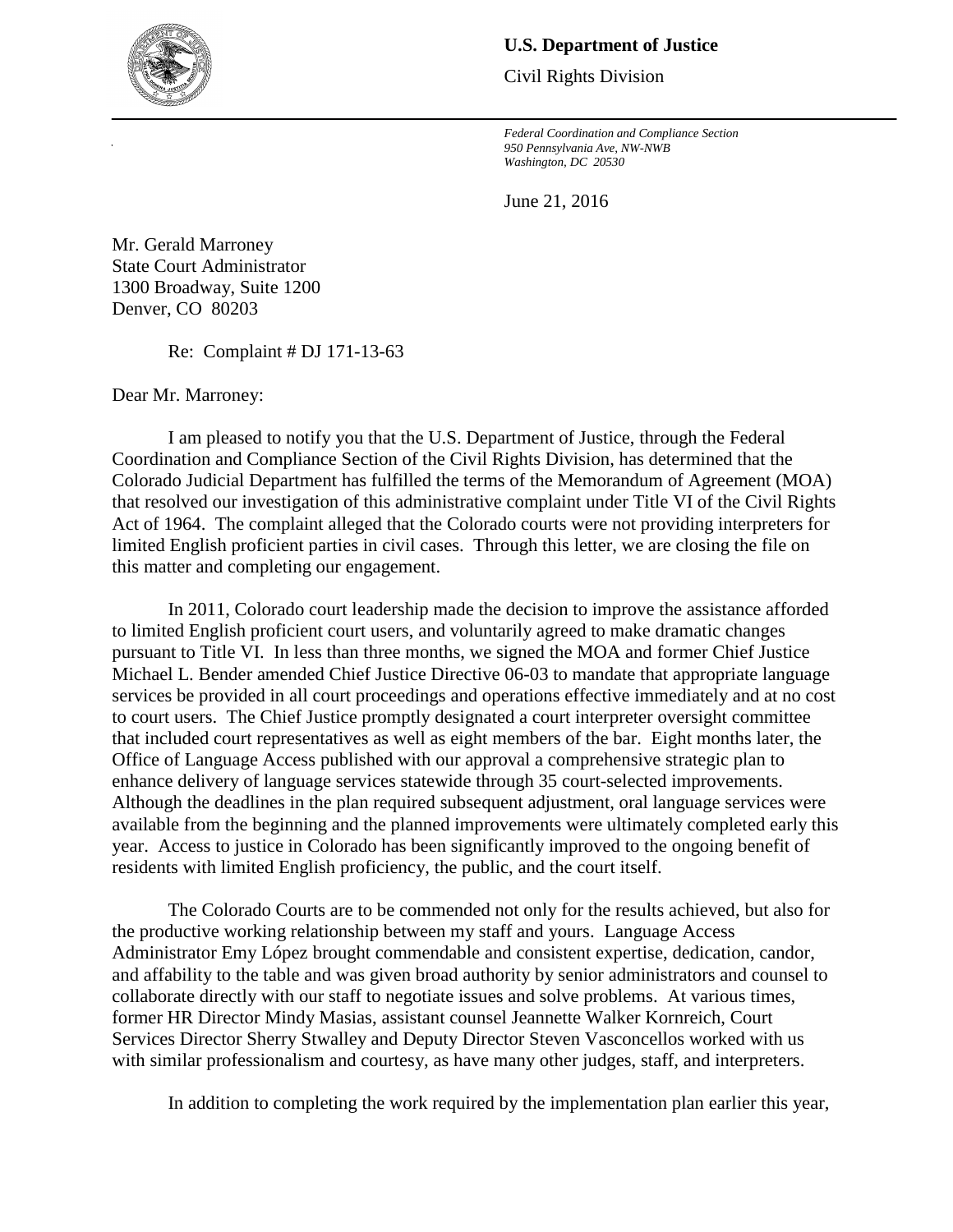## **U.S. Department of Justice**

Civil Rights Division

 *Federal Coordination and Compliance Section 950 Pennsylvania Ave, NW-NWB Washington, DC 20530* 

June 21, 2016

 Denver, CO 80203 Mr. Gerald Marroney State Court Administrator 1300 Broadway, Suite 1200

Re: Complaint # DJ 171-13-63

Dear Mr. Marroney:

 Colorado Judicial Department has fulfilled the terms of the Memorandum of Agreement (MOA) that resolved our investigation of this administrative complaint under Title VI of the Civil Rights limited English proficient parties in civil cases. Through this letter, we are closing the file on I am pleased to notify you that the U.S. Department of Justice, through the Federal Coordination and Compliance Section of the Civil Rights Division, has determined that the Act of 1964. The complaint alleged that the Colorado courts were not providing interpreters for this matter and completing our engagement.

 services be provided in all court proceedings and operations effective immediately and at no cost enhance delivery of language services statewide through 35 court-selected improvements. year. Access to justice in Colorado has been significantly improved to the ongoing benefit of In 2011, Colorado court leadership made the decision to improve the assistance afforded to limited English proficient court users, and voluntarily agreed to make dramatic changes pursuant to Title VI. In less than three months, we signed the MOA and former Chief Justice Michael L. Bender amended Chief Justice Directive 06-03 to mandate that appropriate language to court users. The Chief Justice promptly designated a court interpreter oversight committee that included court representatives as well as eight members of the bar. Eight months later, the Office of Language Access published with our approval a comprehensive strategic plan to Although the deadlines in the plan required subsequent adjustment, oral language services were available from the beginning and the planned improvements were ultimately completed early this residents with limited English proficiency, the public, and the court itself.

 The Colorado Courts are to be commended not only for the results achieved, but also for Administrator Emy López brought commendable and consistent expertise, dedication, candor, and affability to the table and was given broad authority by senior administrators and counsel to collaborate directly with our staff to negotiate issues and solve problems. At various times, former HR Director Mindy Masias, assistant counsel Jeannette Walker Kornreich, Court with similar professionalism and courtesy, as have many other judges, staff, and interpreters. the productive working relationship between my staff and yours. Language Access Services Director Sherry Stwalley and Deputy Director Steven Vasconcellos worked with us

In addition to completing the work required by the implementation plan earlier this year,

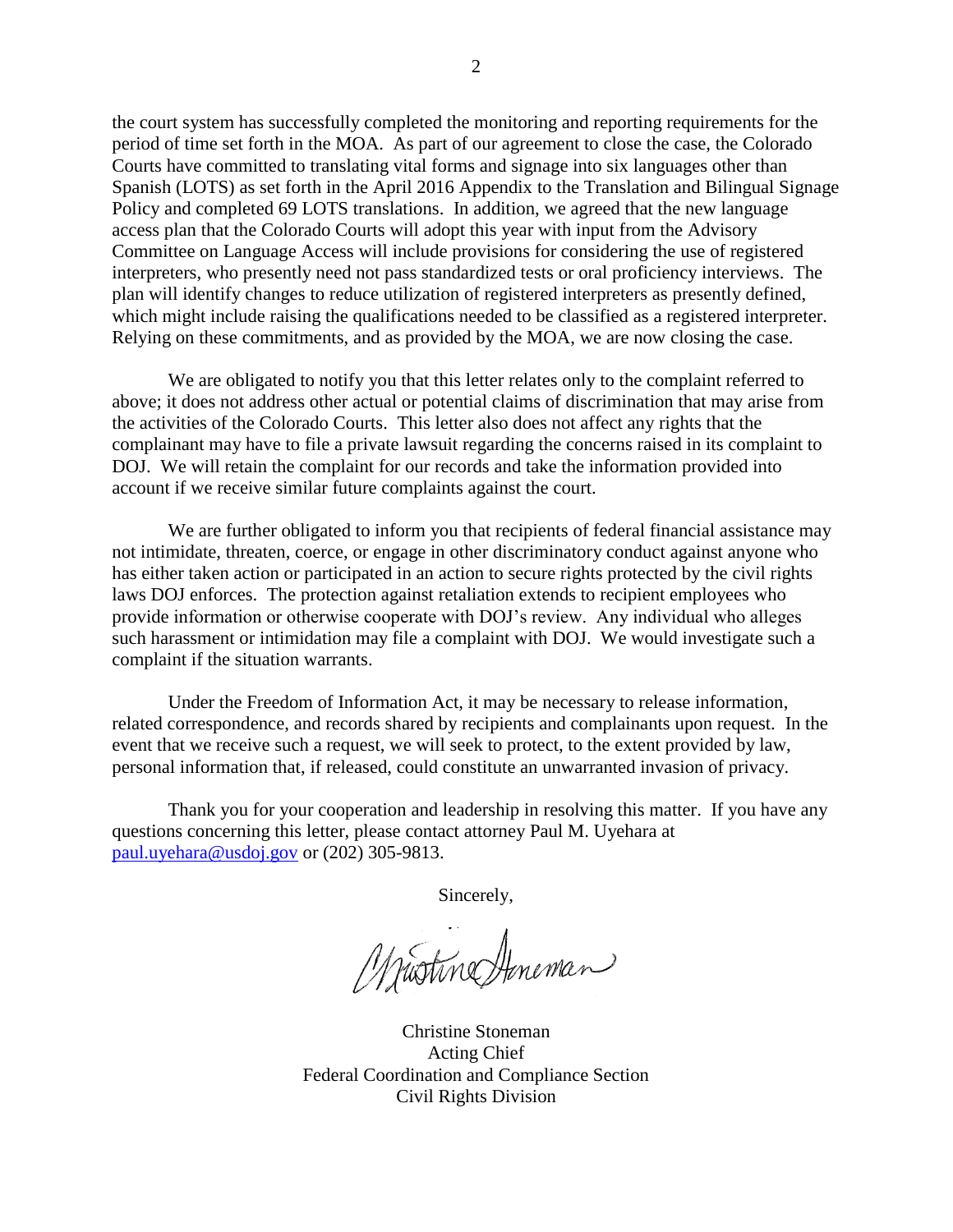period of time set forth in the MOA. As part of our agreement to close the case, the Colorado Policy and completed 69 LOTS translations. In addition, we agreed that the new language Committee on Language Access will include provisions for considering the use of registered plan will identify changes to reduce utilization of registered interpreters as presently defined, Relying on these commitments, and as provided by the MOA, we are now closing the case. the court system has successfully completed the monitoring and reporting requirements for the Courts have committed to translating vital forms and signage into six languages other than Spanish (LOTS) as set forth in the April 2016 Appendix to the Translation and Bilingual Signage access plan that the Colorado Courts will adopt this year with input from the Advisory interpreters, who presently need not pass standardized tests or oral proficiency interviews. The which might include raising the qualifications needed to be classified as a registered interpreter.

 the activities of the Colorado Courts. This letter also does not affect any rights that the We are obligated to notify you that this letter relates only to the complaint referred to above; it does not address other actual or potential claims of discrimination that may arise from complainant may have to file a private lawsuit regarding the concerns raised in its complaint to DOJ. We will retain the complaint for our records and take the information provided into account if we receive similar future complaints against the court.

 We are further obligated to inform you that recipients of federal financial assistance may not intimidate, threaten, coerce, or engage in other discriminatory conduct against anyone who has either taken action or participated in an action to secure rights protected by the civil rights laws DOJ enforces. The protection against retaliation extends to recipient employees who provide information or otherwise cooperate with DOJ's review. Any individual who alleges such harassment or intimidation may file a complaint with DOJ. We would investigate such a complaint if the situation warrants.

 related correspondence, and records shared by recipients and complainants upon request. In the Under the Freedom of Information Act, it may be necessary to release information, event that we receive such a request, we will seek to protect, to the extent provided by law, personal information that, if released, could constitute an unwarranted invasion of privacy.

Thank you for your cooperation and leadership in resolving this matter. If you have any questions concerning this letter, please contact attorney Paul M. Uyehara at [paul.uyehara@usdoj.gov](mailto:paul.uyehara@usdoj.gov) or (202) 305-9813.

Sincerely,

Mustine Honeman

Christine Stoneman Acting Chief Federal Coordination and Compliance Section Civil Rights Division